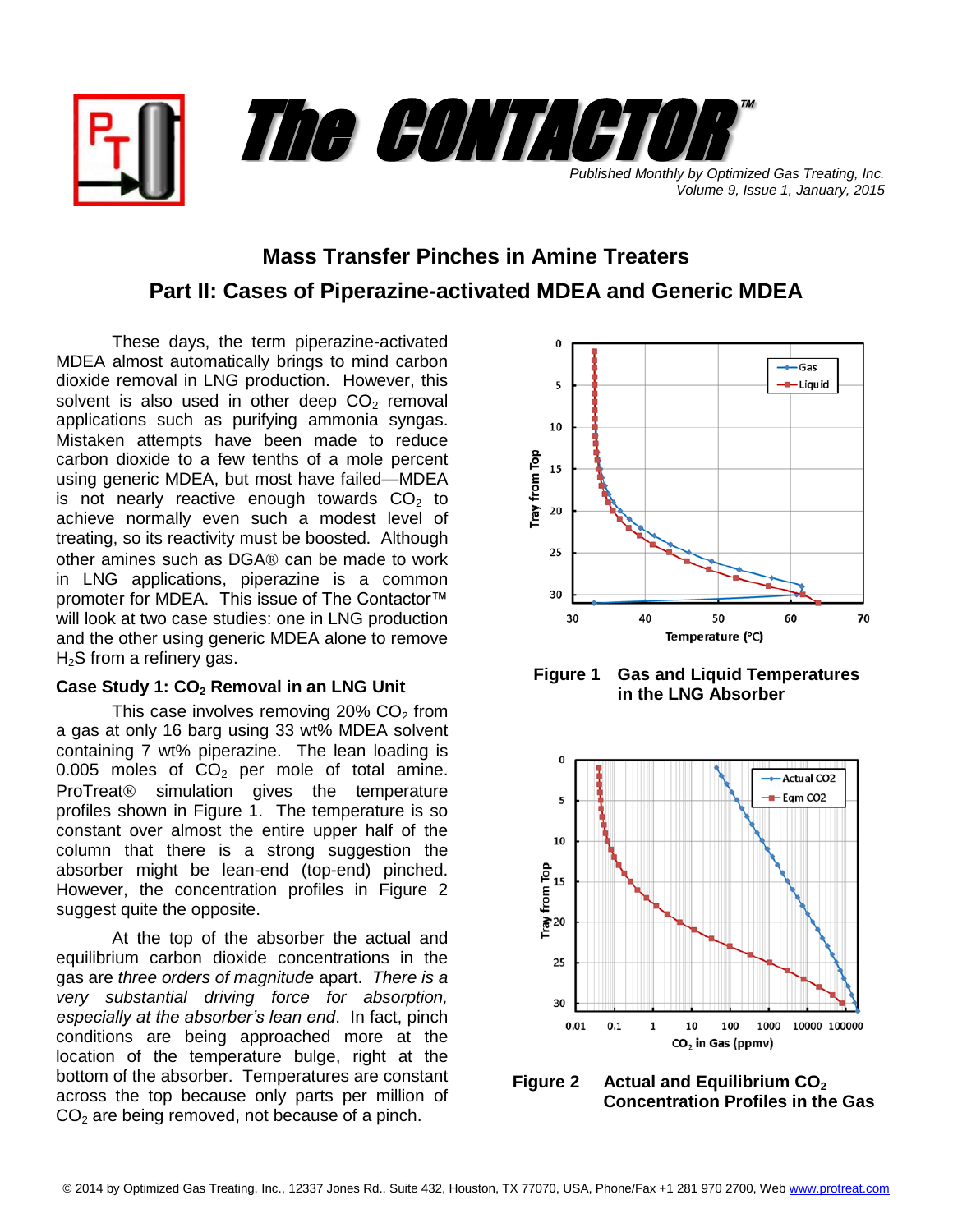

**Mass Transfer Pinches in Amine Treaters Part II: Cases of Piperazine-activated MDEA and Generic MDEA**

These days, the term piperazine-activated MDEA almost automatically brings to mind carbon dioxide removal in LNG production. However, this solvent is also used in other deep  $CO<sub>2</sub>$  removal applications such as purifying ammonia syngas. Mistaken attempts have been made to reduce carbon dioxide to a few tenths of a mole percent using generic MDEA, but most have failed—MDEA is not nearly reactive enough towards  $CO<sub>2</sub>$  to achieve normally even such a modest level of treating, so its reactivity must be boosted. Although other amines such as  $DGA\otimes can$  be made to work in LNG applications, piperazine is a common promoter for MDEA. This issue of The Contactor<sup>™</sup> will look at two case studies: one in LNG production and the other using generic MDEA alone to remove  $H<sub>2</sub>S$  from a refinery gas.

### **Case Study 1: CO<sup>2</sup> Removal in an LNG Unit**

This case involves removing 20%  $CO<sub>2</sub>$  from a gas at only 16 barg using 33 wt% MDEA solvent containing 7 wt% piperazine. The lean loading is 0.005 moles of  $CO<sub>2</sub>$  per mole of total amine. ProTreat<sup>®</sup> simulation gives the temperature profiles shown in Figure 1. The temperature is so constant over almost the entire upper half of the column that there is a strong suggestion the absorber might be lean-end (top-end) pinched. However, the concentration profiles in Figure 2 suggest quite the opposite.

At the top of the absorber the actual and equilibrium carbon dioxide concentrations in the gas are *three orders of magnitude* apart. *There is a very substantial driving force for absorption, especially at the absorber's lean end*. In fact, pinch conditions are being approached more at the location of the temperature bulge, right at the bottom of the absorber. Temperatures are constant across the top because only parts per million of  $CO<sub>2</sub>$  are being removed, not because of a pinch.



**Figure 1 Gas and Liquid Temperatures in the LNG Absorber**



**Figure 2 Actual and Equilibrium CO<sup>2</sup> Concentration Profiles in the Gas**